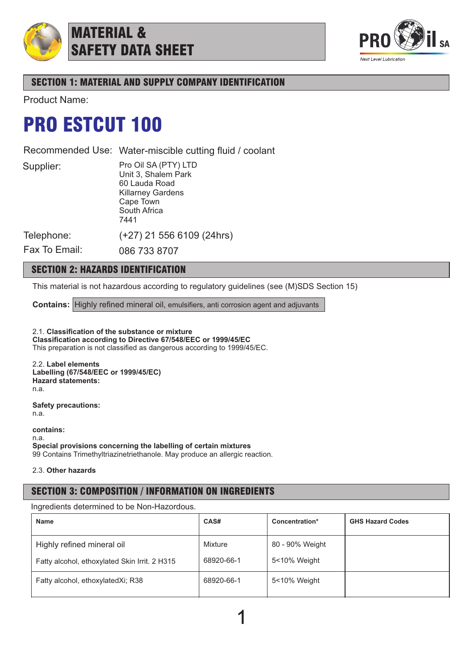

MATERIAL & SAFETY DATA SHEET



# SECTION 1: MATERIAL AND SUPPLY COMPANY IDENTIFICATION

Product Name:

# PRO ESTCUT 100

Recommended Use: Water-miscible cutting fluid / coolant

Supplier:

Pro Oil SA (PTY) LTD Unit 3, Shalem Park 60 Lauda Road Killarney Gardens Cape Town South Africa 7441

(+27) 21 556 6109 (24hrs)

Telephone: Fax To Email:

086 733 8707

# SECTION 2: HAZARDS IDENTIFICATION

This material is not hazardous according to regulatory guidelines (see (M)SDS Section 15)

**Contains:** Highly refined mineral oil, emulsifiers, anti corrosion agent and adjuvants

2.1. **Classification of the substance or mixture Classification according to Directive 67/548/EEC or 1999/45/EC** This preparation is not classified as dangerous according to 1999/45/EC.

2.2. **Label elements Labelling (67/548/EEC or 1999/45/EC) Hazard statements:** n.a.

**Safety precautions:** n.a.

**contains:** n.a. **Special provisions concerning the labelling of certain mixtures** 99 Contains Trimethyltriazinetriethanole. May produce an allergic reaction.

2.3. **Other hazards**

# SECTION 3: COMPOSITION / INFORMATION ON INGREDIENTS

Ingredients determined to be Non-Hazordous.

| <b>Name</b>                                   | CAS#       | Concentration*  | <b>GHS Hazard Codes</b> |
|-----------------------------------------------|------------|-----------------|-------------------------|
| Highly refined mineral oil                    | Mixture    | 80 - 90% Weight |                         |
| Fatty alcohol, ethoxylated Skin Irrit. 2 H315 | 68920-66-1 | 5<10% Weight    |                         |
| Fatty alcohol, ethoxylatedXi; R38             | 68920-66-1 | 5<10% Weight    |                         |
|                                               |            |                 |                         |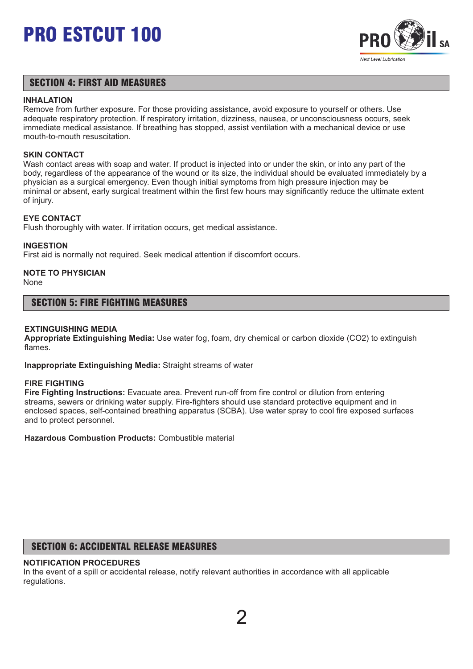

## SECTION 4: FIRST AID MEASURES

### **INHALATION**

Remove from further exposure. For those providing assistance, avoid exposure to yourself or others. Use adequate respiratory protection. If respiratory irritation, dizziness, nausea, or unconsciousness occurs, seek immediate medical assistance. If breathing has stopped, assist ventilation with a mechanical device or use mouth-to-mouth resuscitation.

## **SKIN CONTACT**

Wash contact areas with soap and water. If product is injected into or under the skin, or into any part of the body, regardless of the appearance of the wound or its size, the individual should be evaluated immediately by a physician as a surgical emergency. Even though initial symptoms from high pressure injection may be minimal or absent, early surgical treatment within the first few hours may significantly reduce the ultimate extent of injury.

## **EYE CONTACT**

Flush thoroughly with water. If irritation occurs, get medical assistance.

### **INGESTION**

First aid is normally not required. Seek medical attention if discomfort occurs.

# **NOTE TO PHYSICIAN**

None

## SECTION 5: FIRE FIGHTING MEASURES

### **EXTINGUISHING MEDIA**

**Appropriate Extinguishing Media:** Use water fog, foam, dry chemical or carbon dioxide (CO2) to extinguish flames.

**Inappropriate Extinguishing Media:** Straight streams of water

#### **FIRE FIGHTING**

**Fire Fighting Instructions:** Evacuate area. Prevent run-off from fire control or dilution from entering streams, sewers or drinking water supply. Fire-fighters should use standard protective equipment and in enclosed spaces, self-contained breathing apparatus (SCBA). Use water spray to cool fire exposed surfaces and to protect personnel.

**Hazardous Combustion Products:** Combustible material

# SECTION 6: ACCIDENTAL RELEASE MEASURES

## **NOTIFICATION PROCEDURES**

In the event of a spill or accidental release, notify relevant authorities in accordance with all applicable regulations.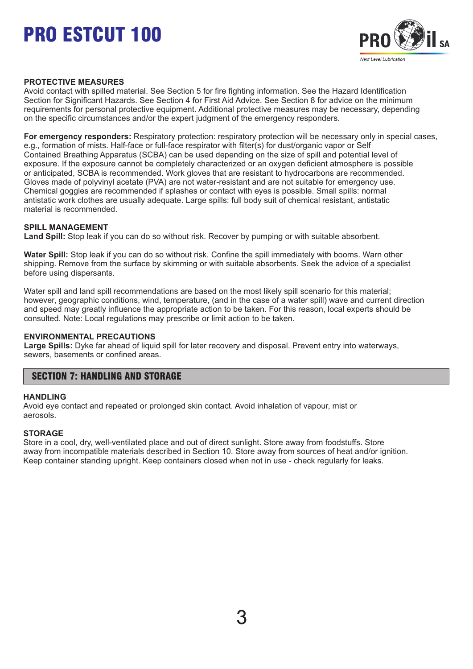

## **PROTECTIVE MEASURES**

Avoid contact with spilled material. See Section 5 for fire fighting information. See the Hazard Identification Section for Significant Hazards. See Section 4 for First Aid Advice. See Section 8 for advice on the minimum requirements for personal protective equipment. Additional protective measures may be necessary, depending on the specific circumstances and/or the expert judgment of the emergency responders.

**For emergency responders:** Respiratory protection: respiratory protection will be necessary only in special cases, e.g., formation of mists. Half-face or full-face respirator with filter(s) for dust/organic vapor or Self Contained Breathing Apparatus (SCBA) can be used depending on the size of spill and potential level of exposure. If the exposure cannot be completely characterized or an oxygen deficient atmosphere is possible or anticipated, SCBA is recommended. Work gloves that are resistant to hydrocarbons are recommended. Gloves made of polyvinyl acetate (PVA) are not water-resistant and are not suitable for emergency use. Chemical goggles are recommended if splashes or contact with eyes is possible. Small spills: normal antistatic work clothes are usually adequate. Large spills: full body suit of chemical resistant, antistatic material is recommended.

## **SPILL MANAGEMENT**

**Land Spill:** Stop leak if you can do so without risk. Recover by pumping or with suitable absorbent.

**Water Spill:** Stop leak if you can do so without risk. Confine the spill immediately with booms. Warn other shipping. Remove from the surface by skimming or with suitable absorbents. Seek the advice of a specialist before using dispersants.

Water spill and land spill recommendations are based on the most likely spill scenario for this material; however, geographic conditions, wind, temperature, (and in the case of a water spill) wave and current direction and speed may greatly influence the appropriate action to be taken. For this reason, local experts should be consulted. Note: Local regulations may prescribe or limit action to be taken.

#### **ENVIRONMENTAL PRECAUTIONS**

**Large Spills:** Dyke far ahead of liquid spill for later recovery and disposal. Prevent entry into waterways, sewers, basements or confined areas.

# SECTION 7: HANDLING AND STORAGE

#### **HANDLING**

Avoid eye contact and repeated or prolonged skin contact. Avoid inhalation of vapour, mist or aerosols.

## **STORAGE**

Store in a cool, dry, well-ventilated place and out of direct sunlight. Store away from foodstuffs. Store away from incompatible materials described in Section 10. Store away from sources of heat and/or ignition. Keep container standing upright. Keep containers closed when not in use - check regularly for leaks.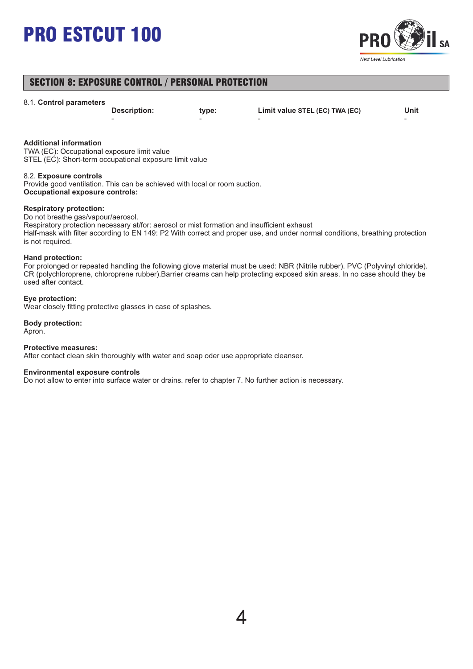

# SECTION 8: EXPOSURE CONTROL / PERSONAL PROTECTION

#### 8.1. **Control parameters**

- - - -

**Description: type: Limit value STEL (EC) TWA (EC) Unit**

#### **Additional information**

TWA (EC): Occupational exposure limit value STEL (EC): Short-term occupational exposure limit value

#### 8.2. **Exposure controls**

Provide good ventilation. This can be achieved with local or room suction. **Occupational exposure controls:**

#### **Respiratory protection:**

Do not breathe gas/vapour/aerosol.

Respiratory protection necessary at/for: aerosol or mist formation and insufficient exhaust Half-mask with filter according to EN 149: P2 With correct and proper use, and under normal conditions, breathing protection is not required.

#### **Hand protection:**

For prolonged or repeated handling the following glove material must be used: NBR (Nitrile rubber). PVC (Polyvinyl chloride). CR (polychloroprene, chloroprene rubber).Barrier creams can help protecting exposed skin areas. In no case should they be used after contact.

#### **Eye protection:**

Wear closely fitting protective glasses in case of splashes.

#### **Body protection:** Apron.

#### **Protective measures:**

After contact clean skin thoroughly with water and soap oder use appropriate cleanser.

#### **Environmental exposure controls**

Do not allow to enter into surface water or drains. refer to chapter 7. No further action is necessary.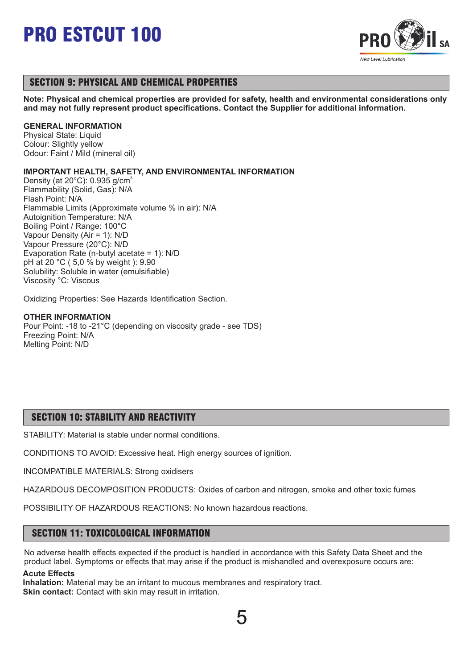

# SECTION 9: PHYSICAL AND CHEMICAL PROPERTIES

**Note: Physical and chemical properties are provided for safety, health and environmental considerations only and may not fully represent product specifications. Contact the Supplier for additional information.**

## **GENERAL INFORMATION**

Physical State: Liquid Colour: Slightly yellow Odour: Faint / Mild (mineral oil)

## **IMPORTANT HEALTH, SAFETY, AND ENVIRONMENTAL INFORMATION**

Density (at  $20^{\circ}$ C): 0.935 g/cm<sup>3</sup> Flammability (Solid, Gas): N/A Flash Point: N/A Flammable Limits (Approximate volume % in air): N/A Autoignition Temperature: N/A Boiling Point / Range: 100°C Vapour Density (Air = 1): N/D Vapour Pressure (20°C): N/D Evaporation Rate (n-butyl acetate = 1): N/D pH at 20 °C ( 5,0 % by weight ): 9.90 Solubility: Soluble in water (emulsifiable) Viscosity °C: Viscous

Oxidizing Properties: See Hazards Identification Section.

## **OTHER INFORMATION**

Pour Point: -18 to -21°C (depending on viscosity grade - see TDS) Freezing Point: N/A Melting Point: N/D

# SECTION 10: STABILITY AND REACTIVITY

STABILITY: Material is stable under normal conditions.

CONDITIONS TO AVOID: Excessive heat. High energy sources of ignition.

INCOMPATIBLE MATERIALS: Strong oxidisers

HAZARDOUS DECOMPOSITION PRODUCTS: Oxides of carbon and nitrogen, smoke and other toxic fumes

POSSIBILITY OF HAZARDOUS REACTIONS: No known hazardous reactions.

# SECTION 11: TOXICOLOGICAL INFORMATION

No adverse health effects expected if the product is handled in accordance with this Safety Data Sheet and the product label. Symptoms or effects that may arise if the product is mishandled and overexposure occurs are:

## **Acute Effects**

**Inhalation:** Material may be an irritant to mucous membranes and respiratory tract. **Skin contact:** Contact with skin may result in irritation.

5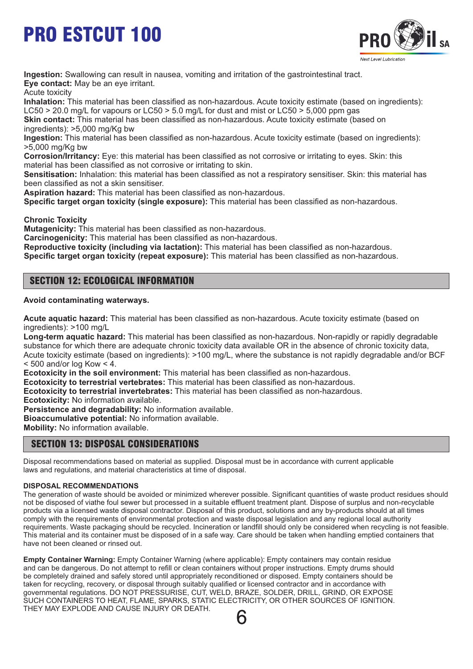

**Ingestion:** Swallowing can result in nausea, vomiting and irritation of the gastrointestinal tract. **Eye contact:** May be an eye irritant.

Acute toxicity

**Inhalation:** This material has been classified as non-hazardous. Acute toxicity estimate (based on ingredients): LC50  $>$  20.0 mg/L for vapours or LC50  $>$  5.0 mg/L for dust and mist or LC50  $>$  5,000 ppm gas

**Skin contact:** This material has been classified as non-hazardous. Acute toxicity estimate (based on ingredients): >5,000 mg/Kg bw

**Ingestion:** This material has been classified as non-hazardous. Acute toxicity estimate (based on ingredients): >5,000 mg/Kg bw

**Corrosion/Irritancy:** Eye: this material has been classified as not corrosive or irritating to eyes. Skin: this material has been classified as not corrosive or irritating to skin.

**Sensitisation:** Inhalation: this material has been classified as not a respiratory sensitiser. Skin: this material has been classified as not a skin sensitiser.

**Aspiration hazard:** This material has been classified as non-hazardous.

**Specific target organ toxicity (single exposure):** This material has been classified as non-hazardous.

**Chronic Toxicity**

**Mutagenicity:** This material has been classified as non-hazardous.

**Carcinogenicity:** This material has been classified as non-hazardous.

**Reproductive toxicity (including via lactation):** This material has been classified as non-hazardous.

**Specific target organ toxicity (repeat exposure):** This material has been classified as non-hazardous.

# SECTION 12: ECOLOGICAL INFORMATION

## **Avoid contaminating waterways.**

**Acute aquatic hazard:** This material has been classified as non-hazardous. Acute toxicity estimate (based on ingredients): >100 mg/L

**Long-term aquatic hazard:** This material has been classified as non-hazardous. Non-rapidly or rapidly degradable substance for which there are adequate chronic toxicity data available OR in the absence of chronic toxicity data, Acute toxicity estimate (based on ingredients): >100 mg/L, where the substance is not rapidly degradable and/or BCF  $<$  500 and/or log Kow  $<$  4.

**Ecotoxicity in the soil environment:** This material has been classified as non-hazardous.

**Ecotoxicity to terrestrial vertebrates:** This material has been classified as non-hazardous.

**Ecotoxicity to terrestrial invertebrates:** This material has been classified as non-hazardous.

**Ecotoxicity:** No information available.

**Persistence and degradability:** No information available.

**Bioaccumulative potential:** No information available.

**Mobility:** No information available.

# SECTION 13: DISPOSAL CONSIDERATIONS

Disposal recommendations based on material as supplied. Disposal must be in accordance with current applicable laws and regulations, and material characteristics at time of disposal.

## **DISPOSAL RECOMMENDATIONS**

The generation of waste should be avoided or minimized wherever possible. Significant quantities of waste product residues should not be disposed of viathe foul sewer but processed in a suitable effluent treatment plant. Dispose of surplus and non-recyclable products via a licensed waste disposal contractor. Disposal of this product, solutions and any by-products should at all times comply with the requirements of environmental protection and waste disposal legislation and any regional local authority requirements. Waste packaging should be recycled. Incineration or landfill should only be considered when recycling is not feasible. This material and its container must be disposed of in a safe way. Care should be taken when handling emptied containers that have not been cleaned or rinsed out.

**Empty Container Warning:** Empty Container Warning (where applicable): Empty containers may contain residue and can be dangerous. Do not attempt to refill or clean containers without proper instructions. Empty drums should be completely drained and safely stored until appropriately reconditioned or disposed. Empty containers should be taken for recycling, recovery, or disposal through suitably qualified or licensed contractor and in accordance with governmental regulations. DO NOT PRESSURISE, CUT, WELD, BRAZE, SOLDER, DRILL, GRIND, OR EXPOSE SUCH CONTAINERS TO HEAT, FLAME, SPARKS, STATIC ELECTRICITY, OR OTHER SOURCES OF IGNITION. THEY MAY EXPLODE AND CAUSE INJURY OR DEATH.